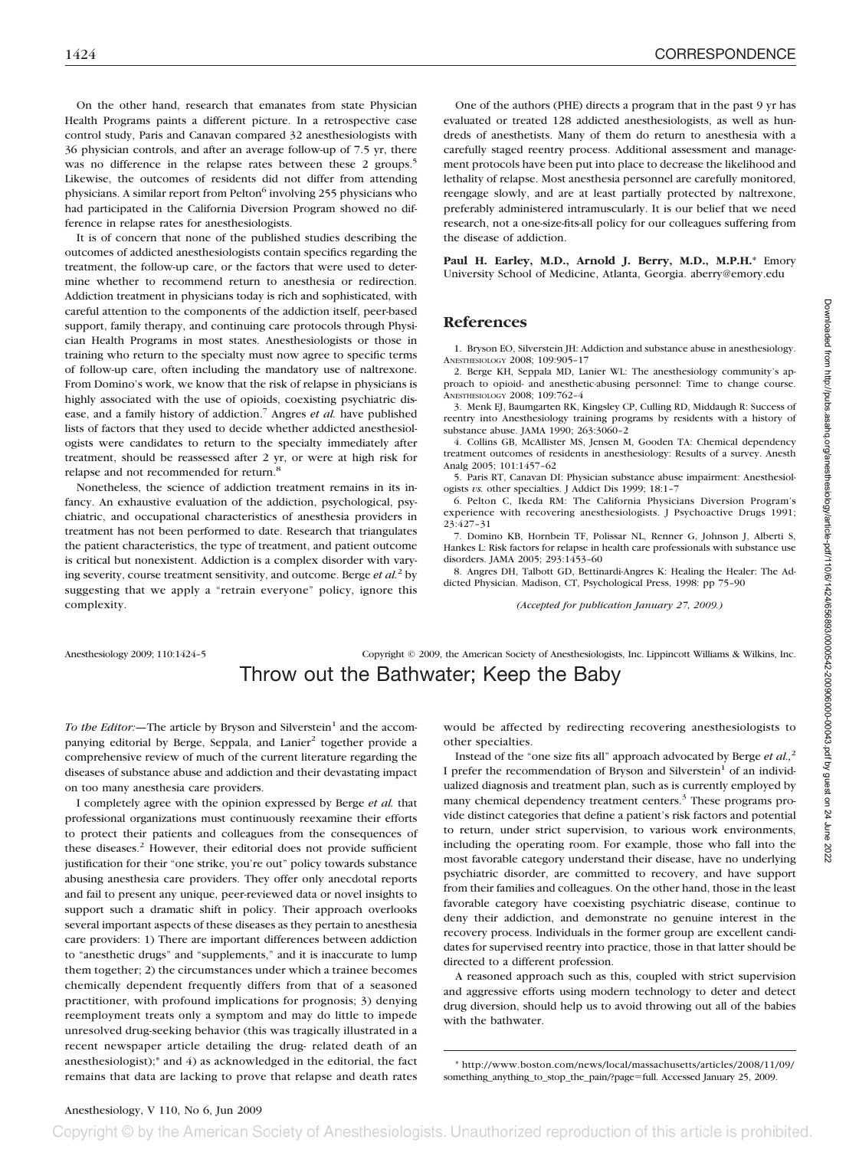On the other hand, research that emanates from state Physician Health Programs paints a different picture. In a retrospective case control study, Paris and Canavan compared 32 anesthesiologists with 36 physician controls, and after an average follow-up of 7.5 yr, there was no difference in the relapse rates between these 2 groups.<sup>5</sup> Likewise, the outcomes of residents did not differ from attending physicians. A similar report from Pelton<sup>6</sup> involving 255 physicians who had participated in the California Diversion Program showed no difference in relapse rates for anesthesiologists.

It is of concern that none of the published studies describing the outcomes of addicted anesthesiologists contain specifics regarding the treatment, the follow-up care, or the factors that were used to determine whether to recommend return to anesthesia or redirection. Addiction treatment in physicians today is rich and sophisticated, with careful attention to the components of the addiction itself, peer-based support, family therapy, and continuing care protocols through Physician Health Programs in most states. Anesthesiologists or those in training who return to the specialty must now agree to specific terms of follow-up care, often including the mandatory use of naltrexone. From Domino's work, we know that the risk of relapse in physicians is highly associated with the use of opioids, coexisting psychiatric disease, and a family history of addiction.<sup>7</sup> Angres *et al.* have published lists of factors that they used to decide whether addicted anesthesiologists were candidates to return to the specialty immediately after treatment, should be reassessed after 2 yr, or were at high risk for relapse and not recommended for return.<sup>8</sup>

Nonetheless, the science of addiction treatment remains in its infancy. An exhaustive evaluation of the addiction, psychological, psychiatric, and occupational characteristics of anesthesia providers in treatment has not been performed to date. Research that triangulates the patient characteristics, the type of treatment, and patient outcome is critical but nonexistent. Addiction is a complex disorder with varying severity, course treatment sensitivity, and outcome. Berge *et al.*<sup>2</sup> by suggesting that we apply a "retrain everyone" policy, ignore this complexity.

One of the authors (PHE) directs a program that in the past 9 yr has evaluated or treated 128 addicted anesthesiologists, as well as hundreds of anesthetists. Many of them do return to anesthesia with a carefully staged reentry process. Additional assessment and management protocols have been put into place to decrease the likelihood and lethality of relapse. Most anesthesia personnel are carefully monitored, reengage slowly, and are at least partially protected by naltrexone, preferably administered intramuscularly. It is our belief that we need research, not a one-size-fits-all policy for our colleagues suffering from the disease of addiction.

**Paul H. Earley, M.D., Arnold J. Berry, M.D., M.P.H.\*** Emory University School of Medicine, Atlanta, Georgia. aberry@emory.edu

### **References**

1. Bryson EO, Silverstein JH: Addiction and substance abuse in anesthesiology. ANESTHESIOLOGY 2008; 109:905–17

2. Berge KH, Seppala MD, Lanier WL: The anesthesiology community's approach to opioid- and anesthetic-abusing personnel: Time to change course. ANESTHESIOLOGY 2008; 109:762–4

3. Menk EJ, Baumgarten RK, Kingsley CP, Culling RD, Middaugh R: Success of reentry into Anesthesiology training programs by residents with a history of substance abuse. JAMA 1990; 263:3060–2

4. Collins GB, McAllister MS, Jensen M, Gooden TA: Chemical dependency treatment outcomes of residents in anesthesiology: Results of a survey. Anesth Analg 2005; 101:1457–62

5. Paris RT, Canavan DI: Physician substance abuse impairment: Anesthesiologists *vs.* other specialties. J Addict Dis 1999; 18:1–7

6. Pelton C, Ikeda RM: The California Physicians Diversion Program's experience with recovering anesthesiologists. J Psychoactive Drugs 1991; 23:427–31

7. Domino KB, Hornbein TF, Polissar NL, Renner G, Johnson J, Alberti S, Hankes L: Risk factors for relapse in health care professionals with substance use disorders. JAMA 2005; 293:1453–60

8. Angres DH, Talbott GD, Bettinardi-Angres K: Healing the Healer: The Addicted Physician. Madison, CT, Psychological Press, 1998: pp 75–90

*(Accepted for publication January 27, 2009.)*

Anesthesiology 2009; 110:1424–5 Copyright © 2009, the American Society of Anesthesiologists, Inc. Lippincott Williams & Wilkins, Inc.

# Throw out the Bathwater; Keep the Baby

*To the Editor:*—The article by Bryson and Silverstein<sup>1</sup> and the accompanying editorial by Berge, Seppala, and Lanier<sup>2</sup> together provide a comprehensive review of much of the current literature regarding the diseases of substance abuse and addiction and their devastating impact on too many anesthesia care providers.

I completely agree with the opinion expressed by Berge *et al.* that professional organizations must continuously reexamine their efforts to protect their patients and colleagues from the consequences of these diseases.<sup>2</sup> However, their editorial does not provide sufficient justification for their "one strike, you're out" policy towards substance abusing anesthesia care providers. They offer only anecdotal reports and fail to present any unique, peer-reviewed data or novel insights to support such a dramatic shift in policy. Their approach overlooks several important aspects of these diseases as they pertain to anesthesia care providers: 1) There are important differences between addiction to "anesthetic drugs" and "supplements," and it is inaccurate to lump them together; 2) the circumstances under which a trainee becomes chemically dependent frequently differs from that of a seasoned practitioner, with profound implications for prognosis; 3) denying reemployment treats only a symptom and may do little to impede unresolved drug-seeking behavior (this was tragically illustrated in a recent newspaper article detailing the drug- related death of an anesthesiologist);\* and 4) as acknowledged in the editorial, the fact remains that data are lacking to prove that relapse and death rates

would be affected by redirecting recovering anesthesiologists to other specialties.

Instead of the "one size fits all" approach advocated by Berge *et al.,*<sup>2</sup> I prefer the recommendation of Bryson and Silverstein<sup>1</sup> of an individualized diagnosis and treatment plan, such as is currently employed by many chemical dependency treatment centers.<sup>3</sup> These programs provide distinct categories that define a patient's risk factors and potential to return, under strict supervision, to various work environments, including the operating room. For example, those who fall into the most favorable category understand their disease, have no underlying psychiatric disorder, are committed to recovery, and have support from their families and colleagues. On the other hand, those in the least favorable category have coexisting psychiatric disease, continue to deny their addiction, and demonstrate no genuine interest in the recovery process. Individuals in the former group are excellent candidates for supervised reentry into practice, those in that latter should be directed to a different profession.

A reasoned approach such as this, coupled with strict supervision and aggressive efforts using modern technology to deter and detect drug diversion, should help us to avoid throwing out all of the babies with the bathwater.

\* http://www.boston.com/news/local/massachusetts/articles/2008/11/09/ something\_anything\_to\_stop\_the\_pain/?page-full. Accessed January 25, 2009.